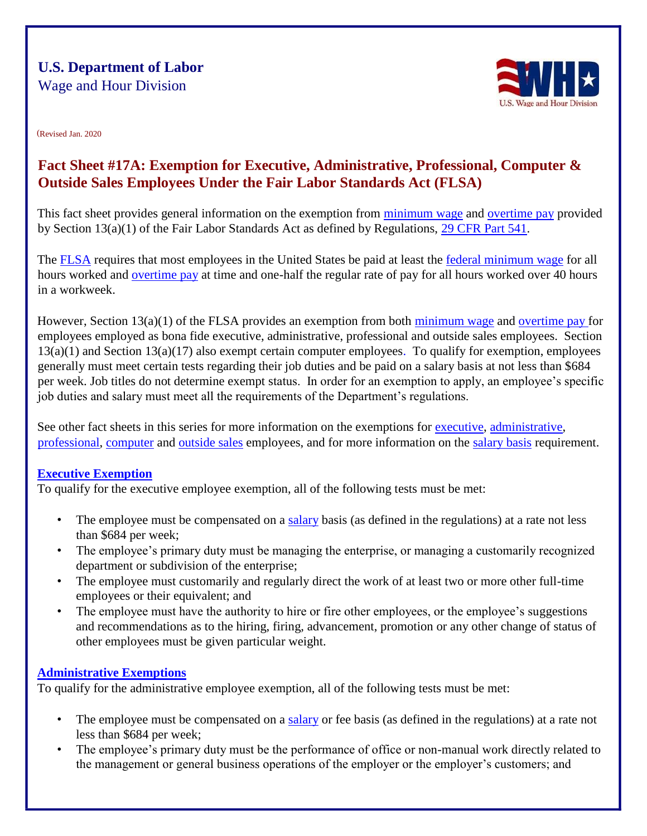# **U.S. Department of Labor**  Wage and Hour Division



(Revised Jan. 2020

# **Fact Sheet #17A: Exemption for Executive, Administrative, Professional, Computer & Outside Sales Employees Under the Fair Labor Standards Act (FLSA)**

This fact sheet provides general information on the exemption from [minimum wage](http://www.dol.gov/WHD/minimumwage.htm) and [overtime pay](http://www.dol.gov/whd/overtime_pay.htm) provided by Section 13(a)(1) of the Fair Labor Standards Act as defined by Regulations, [29 CFR Part 541.](http://www.dol.gov/dol/allcfr/Title_29/Part_541/toc.htm)

The [FLSA](http://www.dol.gov/whd/flsa/index.htm) [r](http://www.dol.gov/whd/flsa/index.htm)equires that most employees in the United States be paid at least the [federal minimum wage](http://www.dol.gov/WHD/minimumwage.htm) [f](http://www.dol.gov/WHD/minimumwage.htm)or all hours worked and [overtime pay](http://www.dol.gov/whd/overtime_pay.htm) at time and one-half the regular rate of pay for all hours worked over 40 hours in a workweek.

However, Section 13(a)(1) of the FLSA provides an exemption from both [minimum wage](http://www.dol.gov/WHD/minimumwage.htm) and [overtime pay f](http://www.dol.gov/whd/overtime_pay.htm)or employees employed as bona fide executive, administrative, professional and outside sales employees. Section 13(a)(1) and Section 13(a)(17) also exempt certain computer employees. To qualify for exemption, employees generally must meet certain tests regarding their job duties and be paid on a salary basis at not less than \$684 per week. Job titles do not determine exempt status. In order for an exemption to apply, an employee's specific job duties and salary must meet all the requirements of the Department's regulations.

See other fact sheets in this series for more information on the exemptions for [executive,](http://www.dol.gov/whd/overtime/fs17b_executive.pdf) [administrative,](http://www.dol.gov/whd/overtime/fs17c_administrative.pdf) [professional,](http://www.dol.gov/whd/overtime/fs17d_professional.pdf) [computer](http://www.dol.gov/whd/overtime/fs17e_computer.pdf) and [outside sales](http://www.dol.gov/whd/overtime/fs17f_outsidesales.pdf) employees, and for more information on the [salary basis](http://www.dol.gov/whd/overtime/fs17g_salary.pdf) [r](http://www.dol.gov/whd/overtime/fs17g_salary.pdf)equirement.

## **[Executive Exemption](http://www.dol.gov/whd/overtime/fs17b_executive.pdf)**

To qualify for the executive employee exemption, all of the following tests must be met:

- The employee must be compensated on a [salary](http://www.dol.gov/whd/overtime/fs17g_salary.pdf) [basis](http://www.dol.gov/whd/overtime/fs17g_salary.pdf) (as defined in the regulations) at a rate not less than \$684 per week;
- The employee's primary duty must be managing the enterprise, or managing a customarily recognized department or subdivision of the enterprise;
- The employee must customarily and regularly direct the work of at least two or more other full-time employees or their equivalent; and
- The employee must have the authority to hire or fire other employees, or the employee's suggestions and recommendations as to the hiring, firing, advancement, promotion or any other change of status of other employees must be given particular weight.

## **[Administrative Exemptions](http://www.dol.gov/whd/overtime/fs17c_administrative.pdf)**

To qualify for the administrative employee exemption, all of the following tests must be met:

- The employee must be compensated on a [salary](http://www.dol.gov/whd/overtime/fs17g_salary.pdf) or fee basis (as defined in the regulations) at a rate not less than \$684 per week;
- The employee's primary duty must be the performance of office or non-manual work directly related to the management or general business operations of the employer or the employer's customers; and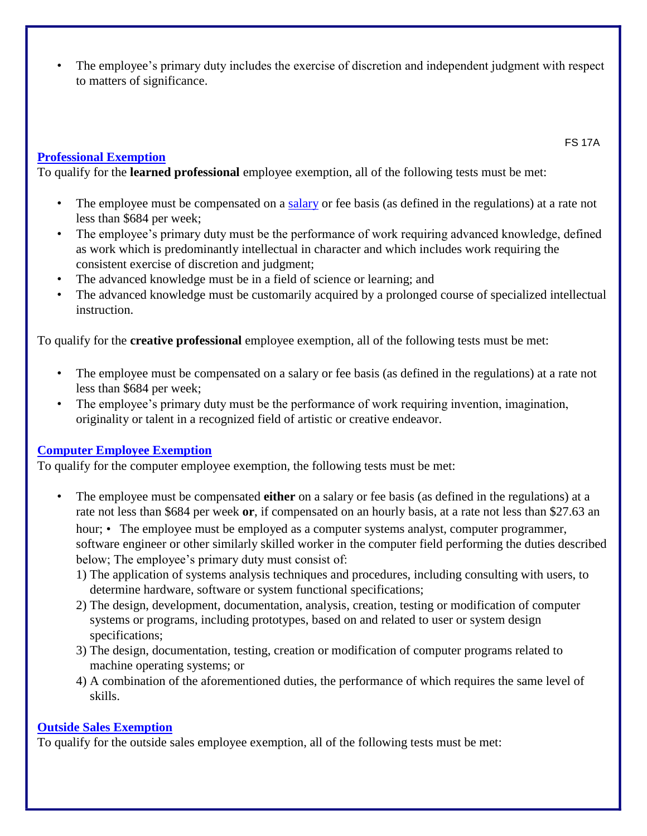• The employee's primary duty includes the exercise of discretion and independent judgment with respect to matters of significance.

FS 17A

#### **[Professional Exemption](http://www.dol.gov/whd/overtime/fs17d_professional.pdf)**

To qualify for the **learned professional** employee exemption, all of the following tests must be met:

- The employee must be compensated on a [salary](http://www.dol.gov/whd/overtime/fs17g_salary.pdf) or fee basis (as defined in the regulations) at a rate not less than \$684 per week;
- The employee's primary duty must be the performance of work requiring advanced knowledge, defined as work which is predominantly intellectual in character and which includes work requiring the consistent exercise of discretion and judgment;
- The advanced knowledge must be in a field of science or learning; and
- The advanced knowledge must be customarily acquired by a prolonged course of specialized intellectual instruction.

To qualify for the **creative professional** employee exemption, all of the following tests must be met:

- The employee must be compensated on a [salary](http://www.dol.gov/whd/overtime/fs17g_salary.htm) or fee basis (as defined in the regulations) at a rate not less than \$684 per week;
- The employee's primary duty must be the performance of work requiring invention, imagination, originality or talent in a recognized field of artistic or creative endeavor.

## **[Computer Employee Exemption](http://www.dol.gov/whd/overtime/fs17e_computer.pdf)**

To qualify for the computer employee exemption, the following tests must be met:

- The employee must be compensated **either** on a [salary](http://www.dol.gov/whd/overtime/fs17g_salary.htm) or fee basis (as defined in the regulations) at a rate not less than \$684 per week **or**, if compensated on an hourly basis, at a rate not less than \$27.63 an hour; • The employee must be employed as a computer systems analyst, computer programmer, software engineer or other similarly skilled worker in the computer field performing the duties described below; The employee's primary duty must consist of:
	- 1) The application of systems analysis techniques and procedures, including consulting with users, to determine hardware, software or system functional specifications;
	- 2) The design, development, documentation, analysis, creation, testing or modification of computer systems or programs, including prototypes, based on and related to user or system design specifications;
	- 3) The design, documentation, testing, creation or modification of computer programs related to machine operating systems; or
	- 4) A combination of the aforementioned duties, the performance of which requires the same level of skills.

## **[Outside Sales Exemption](http://www.dol.gov/whd/overtime/fs17f_outsidesales.htm)**

To qualify for the outside sales employee exemption, all of the following tests must be met: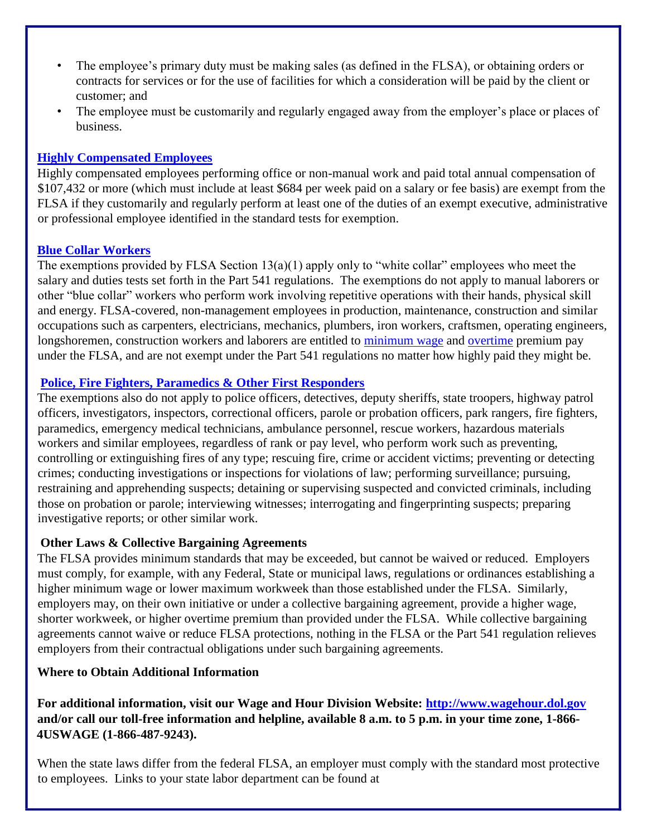- The employee's primary duty must be making sales (as defined in the FLSA), or obtaining orders or contracts for services or for the use of facilities for which a consideration will be paid by the client or customer; and
- The employee must be customarily and regularly engaged away from the employer's place or places of business.

#### **Highly [Compensated Employees](http://www.dol.gov/whd/overtime/fs17h_highly_comp.htm)**

Highly compensated employees performing office or non-manual work and paid total annual compensation of \$107,432 or more (which must include at least \$684 per week paid on a salary or fee basis) are exempt from the FLSA if they customarily and regularly perform at least one of the duties of an exempt executive, administrative or professional employee identified in the standard tests for exemption.

#### **[Blue Collar Workers](http://www.dol.gov/whd/overtime/fs17i_blue_collar.htm)**

The exemptions provided by FLSA Section  $13(a)(1)$  apply only to "white collar" employees who meet the salary and duties tests set forth in the Part 541 regulations. The exemptions do not apply to manual laborers or other "blue collar" workers who perform work involving repetitive operations with their hands, physical skill and energy. FLSA-covered, non-management employees in production, maintenance, construction and similar occupations such as carpenters, electricians, mechanics, plumbers, iron workers, craftsmen, operating engineers, longshoremen, construction workers and laborers are entitled to [minimum wage](http://www.dol.gov/WHD/minimumwage.htm) and [overtime](http://www.dol.gov/whd/overtime_pay.htm) premium pay under the FLSA, and are not exempt under the Part 541 regulations no matter how highly paid they might be.

## **[Police, Fire Fighters, Paramedics & Other First Responders](http://www.dol.gov/whd/overtime/fs17j_first_responders.pdf)**

The exemptions also do not apply to police officers, detectives, deputy sheriffs, state troopers, highway patrol officers, investigators, inspectors, correctional officers, parole or probation officers, park rangers, fire fighters, paramedics, emergency medical technicians, ambulance personnel, rescue workers, hazardous materials workers and similar employees, regardless of rank or pay level, who perform work such as preventing, controlling or extinguishing fires of any type; rescuing fire, crime or accident victims; preventing or detecting crimes; conducting investigations or inspections for violations of law; performing surveillance; pursuing, restraining and apprehending suspects; detaining or supervising suspected and convicted criminals, including those on probation or parole; interviewing witnesses; interrogating and fingerprinting suspects; preparing investigative reports; or other similar work.

## **Other Laws & Collective Bargaining Agreements**

The FLSA provides minimum standards that may be exceeded, but cannot be waived or reduced. Employers must comply, for example, with any Federal, State or municipal laws, regulations or ordinances establishing a higher minimum wage or lower maximum workweek than those established under the FLSA. Similarly, employers may, on their own initiative or under a collective bargaining agreement, provide a higher wage, shorter workweek, or higher overtime premium than provided under the FLSA. While collective bargaining agreements cannot waive or reduce FLSA protections, nothing in the FLSA or the Part 541 regulation relieves employers from their contractual obligations under such bargaining agreements.

## **Where to Obtain Additional Information**

**For additional information, visit our Wage and Hour Division Website: [http://www.wagehour.dol.gov](http://www.dol.gov/whd) and/or call our toll-free information and helpline, available 8 a.m. to 5 p.m. in your time zone, 1-866- 4USWAGE (1-866-487-9243).** 

When the state laws differ from the federal FLSA, an employer must comply with the standard most protective to employees. Links to your state labor department can be found at